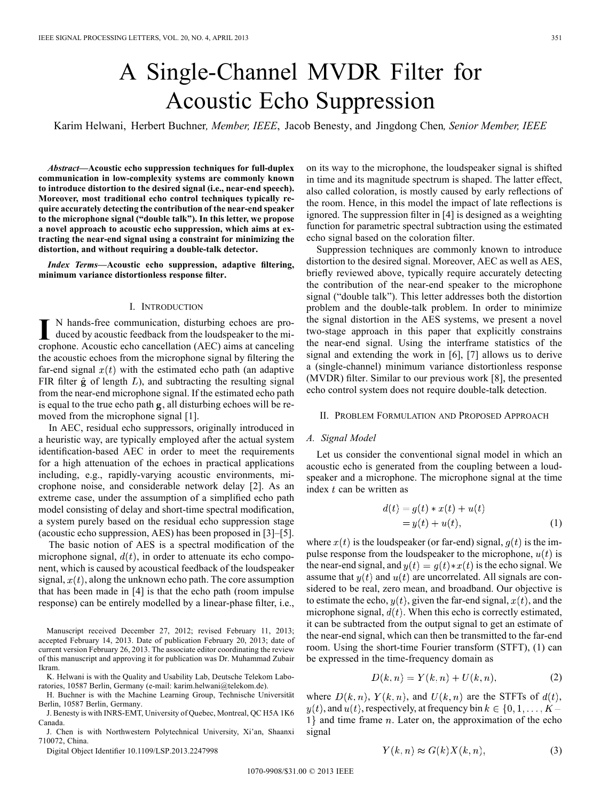# A Single-Channel MVDR Filter for Acoustic Echo Suppression

Karim Helwani, Herbert Buchner*, Member, IEEE*, Jacob Benesty, and Jingdong Chen*, Senior Member, IEEE*

*Abstract—***Acoustic echo suppression techniques for full-duplex communication in low-complexity systems are commonly known to introduce distortion to the desired signal (i.e., near-end speech). Moreover, most traditional echo control techniques typically require accurately detecting the contribution of the near-end speaker to the microphone signal ("double talk"). In this letter, we propose a novel approach to acoustic echo suppression, which aims at extracting the near-end signal using a constraint for minimizing the distortion, and without requiring a double-talk detector.**

*Index Terms—***Acoustic echo suppression, adaptive filtering, minimum variance distortionless response filter.**

#### I. INTRODUCTION

I N hands-free communication, disturbing echoes are pro-<br>duced by acoustic feedback from the loudspeaker to the mi-<br>speaker of acoustic school speaker of AEC) since at equality crophone. Acoustic echo cancellation (AEC) aims at canceling the acoustic echoes from the microphone signal by filtering the far-end signal  $x(t)$  with the estimated echo path (an adaptive FIR filter  $\hat{g}$  of length  $L$ ), and subtracting the resulting signal from the near-end microphone signal. If the estimated echo path is equal to the true echo path g, all disturbing echoes will be removed from the microphone signal [1].

In AEC, residual echo suppressors, originally introduced in a heuristic way, are typically employed after the actual system identification-based AEC in order to meet the requirements for a high attenuation of the echoes in practical applications including, e.g., rapidly-varying acoustic environments, microphone noise, and considerable network delay [2]. As an extreme case, under the assumption of a simplified echo path model consisting of delay and short-time spectral modification, a system purely based on the residual echo suppression stage (acoustic echo suppression, AES) has been proposed in [3]–[5].

The basic notion of AES is a spectral modification of the microphone signal,  $d(t)$ , in order to attenuate its echo component, which is caused by acoustical feedback of the loudspeaker signal,  $x(t)$ , along the unknown echo path. The core assumption that has been made in [4] is that the echo path (room impulse response) can be entirely modelled by a linear-phase filter, i.e.,

Manuscript received December 27, 2012; revised February 11, 2013; accepted February 14, 2013. Date of publication February 20, 2013; date of current version February 26, 2013. The associate editor coordinating the review of this manuscript and approving it for publication was Dr. Muhammad Zubair Ikram.

K. Helwani is with the Quality and Usability Lab, Deutsche Telekom Laboratories, 10587 Berlin, Germany (e-mail: karim.helwani@telekom.de).

J. Benesty is with INRS-EMT, University of Quebec, Montreal, QC H5A 1K6 Canada.

J. Chen is with Northwestern Polytechnical University, Xi'an, Shaanxi 710072, China.

Digital Object Identifier 10.1109/LSP.2013.2247998

on its way to the microphone, the loudspeaker signal is shifted in time and its magnitude spectrum is shaped. The latter effect, also called coloration, is mostly caused by early reflections of the room. Hence, in this model the impact of late reflections is ignored. The suppression filter in [4] is designed as a weighting function for parametric spectral subtraction using the estimated echo signal based on the coloration filter.

Suppression techniques are commonly known to introduce distortion to the desired signal. Moreover, AEC as well as AES, briefly reviewed above, typically require accurately detecting the contribution of the near-end speaker to the microphone signal ("double talk"). This letter addresses both the distortion problem and the double-talk problem. In order to minimize the signal distortion in the AES systems, we present a novel two-stage approach in this paper that explicitly constrains the near-end signal. Using the interframe statistics of the signal and extending the work in [6], [7] allows us to derive a (single-channel) minimum variance distortionless response (MVDR) filter. Similar to our previous work [8], the presented echo control system does not require double-talk detection.

## II. PROBLEM FORMULATION AND PROPOSED APPROACH

## *A. Signal Model*

Let us consider the conventional signal model in which an acoustic echo is generated from the coupling between a loudspeaker and a microphone. The microphone signal at the time index  $t$  can be written as

$$
d(t) = g(t) * x(t) + u(t)
$$
  
=  $y(t) + u(t)$ , (1)

where  $x(t)$  is the loudspeaker (or far-end) signal,  $q(t)$  is the impulse response from the loudspeaker to the microphone,  $u(t)$  is the near-end signal, and  $y(t) = q(t) * x(t)$  is the echo signal. We assume that  $y(t)$  and  $u(t)$  are uncorrelated. All signals are considered to be real, zero mean, and broadband. Our objective is to estimate the echo,  $y(t)$ , given the far-end signal,  $x(t)$ , and the microphone signal,  $d(t)$ . When this echo is correctly estimated, it can be subtracted from the output signal to get an estimate of the near-end signal, which can then be transmitted to the far-end room. Using the short-time Fourier transform (STFT), (1) can be expressed in the time-frequency domain as

$$
D(k,n) = Y(k,n) + U(k,n),\tag{2}
$$

where  $D(k, n)$ ,  $Y(k, n)$ , and  $U(k, n)$  are the STFTs of  $d(t)$ ,  $y(t)$ , and  $u(t)$ , respectively, at frequency bin  $k \in \{0, 1, \ldots, K - \}$  $1$  and time frame  $n$ . Later on, the approximation of the echo signal

$$
Y(k,n) \approx G(k)X(k,n),\tag{3}
$$

H. Buchner is with the Machine Learning Group, Technische Universität Berlin, 10587 Berlin, Germany.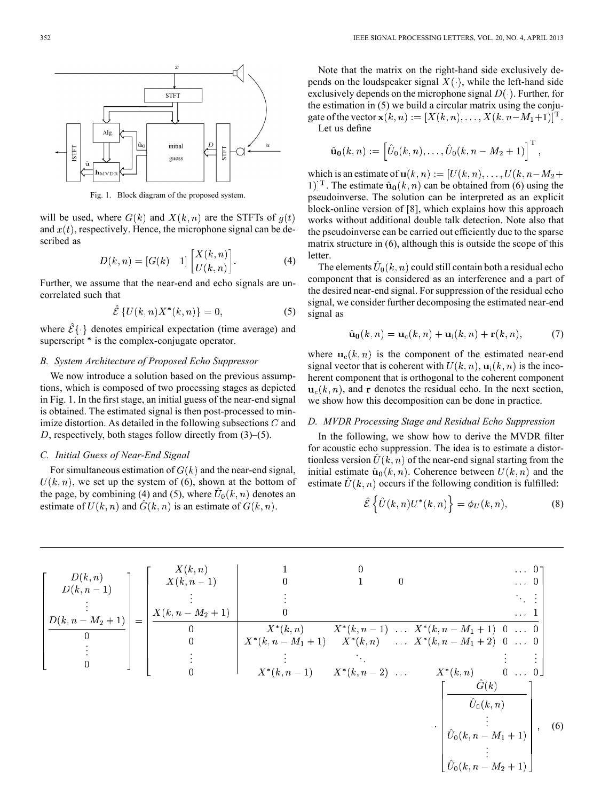

Fig. 1. Block diagram of the proposed system.

will be used, where  $G(k)$  and  $X(k, n)$  are the STFTs of  $q(t)$ and  $x(t)$ , respectively. Hence, the microphone signal can be described as

$$
D(k,n) = [G(k) \quad 1] \begin{bmatrix} X(k,n) \\ U(k,n) \end{bmatrix}.
$$
 (4)

Further, we assume that the near-end and echo signals are uncorrelated such that

$$
\hat{\mathcal{E}}\left\{U(k,n)X^*(k,n)\right\}=0,\t(5)
$$

where  $\hat{\mathcal{E}}\{\cdot\}$  denotes empirical expectation (time average) and superscript  $*$  is the complex-conjugate operator.

## *B. System Architecture of Proposed Echo Suppressor*

We now introduce a solution based on the previous assumptions, which is composed of two processing stages as depicted in Fig. 1. In the first stage, an initial guess of the near-end signal is obtained. The estimated signal is then post-processed to minimize distortion. As detailed in the following subsections  $C$  and D, respectively, both stages follow directly from  $(3)$ – $(5)$ .

## *C. Initial Guess of Near-End Signal*

For simultaneous estimation of  $G(k)$  and the near-end signal,  $U(k, n)$ , we set up the system of (6), shown at the bottom of the page, by combining (4) and (5), where  $U_0(k, n)$  denotes an estimate of  $U(k, n)$  and  $G(k, n)$  is an estimate of  $G(k, n)$ .

Note that the matrix on the right-hand side exclusively depends on the loudspeaker signal  $X(\cdot)$ , while the left-hand side exclusively depends on the microphone signal  $D(\cdot)$ . Further, for the estimation in (5) we build a circular matrix using the conjugate of the vector  $\mathbf{x}(k, n) := [X(k, n), \dots, X(k, n-M_1+1)]^T$ .

Let us define

$$
\hat{\mathbf{u}}_{\mathbf{0}}(k,n) := \left[\hat{U}_0(k,n),\ldots,\hat{U}_0(k,n-M_2+1)\right]^{\mathrm{T}},
$$

which is an estimate of  $\mathbf{u}(k,n) := [U(k,n), \ldots, U(k,n-M_2 +$ 1)<sup>T</sup>. The estimate  $\hat{u}_0(k, n)$  can be obtained from (6) using the pseudoinverse. The solution can be interpreted as an explicit block-online version of [8], which explains how this approach works without additional double talk detection. Note also that the pseudoinverse can be carried out efficiently due to the sparse matrix structure in (6), although this is outside the scope of this letter.

The elements  $\bar{U}_0(k,n)$  could still contain both a residual echo component that is considered as an interference and a part of the desired near-end signal. For suppression of the residual echo signal, we consider further decomposing the estimated near-end signal as

$$
\hat{\mathbf{u}}_0(k,n) = \mathbf{u}_c(k,n) + \mathbf{u}_i(k,n) + \mathbf{r}(k,n),
$$
 (7)

where  $\mathbf{u}_{c}(k, n)$  is the component of the estimated near-end signal vector that is coherent with  $U(k, n)$ ,  $\mathbf{u}_i(k, n)$  is the incoherent component that is orthogonal to the coherent component  $\mathbf{u}_{\rm c}(k,n)$ , and r denotes the residual echo. In the next section, we show how this decomposition can be done in practice.

## *D. MVDR Processing Stage and Residual Echo Suppression*

In the following, we show how to derive the MVDR filter for acoustic echo suppression. The idea is to estimate a distortionless version  $\hat{U}(k, n)$  of the near-end signal starting from the initial estimate  $\hat{\mathbf{u}}_0(k,n)$ . Coherence between  $U(k,n)$  and the estimate  $U(k, n)$  occurs if the following condition is fulfilled:

$$
\hat{\mathcal{E}}\left\{\hat{U}(k,n)U^*(k,n)\right\} = \phi_U(k,n),\tag{8}
$$

$$
\begin{bmatrix}\nD(k,n) \\
D(k,n-1) \\
\vdots \\
D(k,n-M_2+1) \\
0 \\
\vdots \\
0\n\end{bmatrix} = \begin{bmatrix}\nX(k,n) & 1 & 0 & \cdots & 0 \\
X(k,n-1) & 0 & 1 & 0 & \cdots & 0 \\
\vdots & \vdots & \ddots & \vdots & \ddots & \vdots \\
X(k,n-M_2+1) & 0 & X^*(k,n) & X^*(k,n-1) & \cdots & X^*(k,n-M_1+1) & 0 & \cdots & 0 \\
0 & X^*(k,n-M_1+1) & X^*(k,n) & \cdots & X^*(k,n-M_1+2) & 0 & \cdots & 0 \\
\vdots & \vdots & \vdots & \ddots & \vdots & \ddots & \vdots & \vdots \\
X^*(k,n-1) & X^*(k,n-2) & \cdots & X^*(k,n) & 0 & \cdots & 0 \\
\vdots & \vdots & \vdots & \ddots & \vdots & \vdots & \vdots \\
X^*(k,n-1) & X^*(k,n-2) & \cdots & X^*(k,n) & 0 & \cdots & 0 \\
\vdots & \vdots & \vdots & \vdots & \vdots & \vdots & \vdots \\
\hline\n\hat{U}_0(k,n-M_1+1) & 0 & \cdots & 0 & \cdots & 0 \\
\vdots & \vdots & \vdots & \vdots & \vdots & \vdots & \vdots \\
\hline\n\hat{U}_0(k,n-M_2+1) & 0 & \cdots & 0 & \cdots & 0 \\
\vdots & \vdots & \vdots & \vdots & \vdots & \vdots & \vdots \\
\hline\n\hat{U}_0(k,n-M_2+1) & 0 & \cdots & 0 & \cdots & 0 \\
\vdots & \vdots & \vdots & \vdots & \vdots & \vdots & \vdots \\
\hline\n\end{bmatrix}, \quad (6)
$$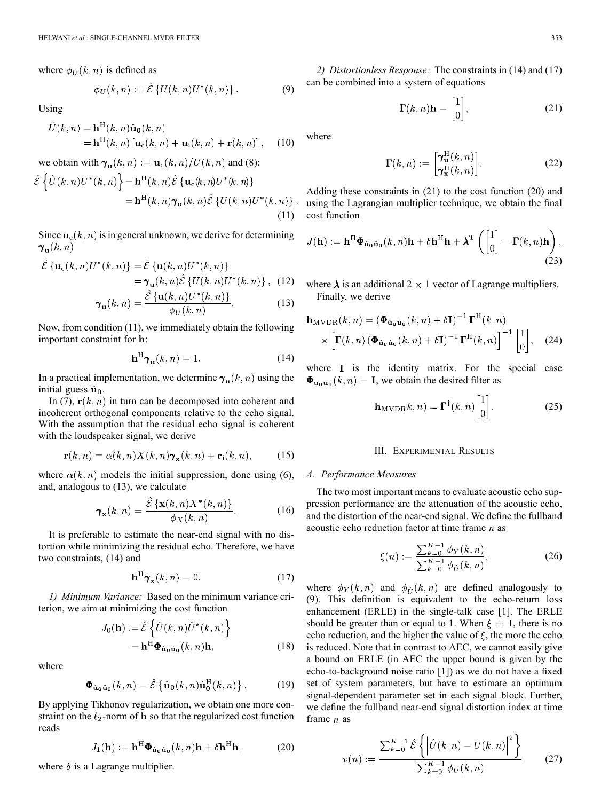where  $\phi_U(k, n)$  is defined as

$$
\phi_U(k, n) := \hat{\mathcal{E}} \{ U(k, n) U^*(k, n) \} . \tag{9}
$$

Using

$$
\hat{U}(k,n) = \mathbf{h}^{\mathrm{H}}(k,n)\hat{\mathbf{u}}_0(k,n)
$$
  
=  $\mathbf{h}^{\mathrm{H}}(k,n) [\mathbf{u}_c(k,n) + \mathbf{u}_i(k,n) + \mathbf{r}(k,n)],$  (10)

we obtain with 
$$
\gamma_{\mathbf{u}}(k, n) := \mathbf{u}_{c}(k, n)/U(k, n)
$$
 and (8):  
\n
$$
\hat{\mathcal{E}}\left\{\hat{U}(k, n)U^{*}(k, n)\right\} = \mathbf{h}^{H}(k, n)\hat{\mathcal{E}}\left\{\mathbf{u}_{c}(k, n)U^{*}(k, n)\right\}
$$
\n
$$
= \mathbf{h}^{H}(k, n)\gamma_{\mathbf{u}}(k, n)\hat{\mathcal{E}}\left\{U(k, n)U^{*}(k, n)\right\}
$$
\n(11)

Since  $\mathbf{u}_{c}(k, n)$  is in general unknown, we derive for determining  $\gamma_{\mathbf{u}}(k,n)$ 

$$
\hat{\mathcal{E}}\left\{\mathbf{u}_{c}(k,n)U^{*}(k,n)\right\} = \hat{\mathcal{E}}\left\{\mathbf{u}(k,n)U^{*}(k,n)\right\}
$$

$$
= \gamma_{\mathbf{u}}(k,n)\hat{\mathcal{E}}\left\{U(k,n)U^{*}(k,n)\right\}, (12)
$$

$$
\hat{\mathcal{E}}\left\{\mathbf{u}(k,n)U^{*}(k,n)\right\}
$$

$$
\boldsymbol{\gamma}_{\mathbf{u}}(k,n) = \frac{\mathcal{E}\left\{ \mathbf{u}(\kappa,n)U^{\top}(\kappa,n) \right\}}{\phi_U(k,n)}.
$$
 (13)

Now, from condition (11), we immediately obtain the following important constraint for h:

$$
\mathbf{h}^{\mathrm{H}}\boldsymbol{\gamma}_{\mathrm{u}}(k,n) = 1. \tag{14}
$$

In a practical implementation, we determine  $\gamma_{\mathbf{u}}(k, n)$  using the initial guess  $\hat{u}_0$ .

In (7),  $\mathbf{r}(k, n)$  in turn can be decomposed into coherent and incoherent orthogonal components relative to the echo signal. With the assumption that the residual echo signal is coherent with the loudspeaker signal, we derive

$$
\mathbf{r}(k,n) = \alpha(k,n)X(k,n)\boldsymbol{\gamma}_{\mathbf{x}}(k,n) + \mathbf{r}_{\mathbf{i}}(k,n),
$$
 (15)

where  $\alpha(k, n)$  models the initial suppression, done using (6), and, analogous to (13), we calculate

$$
\gamma_{\mathbf{x}}(k,n) = \frac{\mathcal{E}\left\{\mathbf{x}(k,n)X^*(k,n)\right\}}{\phi_X(k,n)}.
$$
 (16)

It is preferable to estimate the near-end signal with no distortion while minimizing the residual echo. Therefore, we have two constraints, (14) and

$$
\mathbf{h}^{\mathrm{H}}\boldsymbol{\gamma}_{\mathbf{x}}(k,n) = 0. \tag{17}
$$

*1) Minimum Variance:* Based on the minimum variance criterion, we aim at minimizing the cost function

$$
J_0(\mathbf{h}) := \hat{\mathcal{E}} \left\{ \hat{U}(k,n) \hat{U}^*(k,n) \right\}
$$
  
=  $\mathbf{h}^{\mathrm{H}} \mathbf{\Phi}_{\hat{\mathbf{u}}_0 \hat{\mathbf{u}}_0}(k,n) \mathbf{h},$  (18)

where

$$
\mathbf{\Phi}_{\hat{\mathbf{u}}_0\hat{\mathbf{u}}_0}(k,n) = \hat{\mathcal{E}}\left\{\hat{\mathbf{u}}_0(k,n)\hat{\mathbf{u}}_0^{\text{H}}(k,n)\right\}.
$$
 (19)

By applying Tikhonov regularization, we obtain one more constraint on the  $\ell_2$ -norm of **h** so that the regularized cost function reads

$$
J_1(\mathbf{h}) := \mathbf{h}^{\mathrm{H}} \mathbf{\Phi}_{\hat{\mathbf{u}}_0 \hat{\mathbf{u}}_0}(k, n) \mathbf{h} + \delta \mathbf{h}^{\mathrm{H}} \mathbf{h},\tag{20}
$$

where  $\delta$  is a Lagrange multiplier.

*2) Distortionless Response:* The constraints in (14) and (17) can be combined into a system of equations

$$
\Gamma(k, n)\mathbf{h} = \begin{bmatrix} 1 \\ 0 \end{bmatrix}, \tag{21}
$$

where

I

$$
\Gamma(k,n) := \begin{bmatrix} \gamma_u^{\text{H}}(k,n) \\ \gamma_{\mathbf{x}}^{\text{H}}(k,n) \end{bmatrix}.
$$
 (22)

Adding these constraints in (21) to the cost function (20) and using the Lagrangian multiplier technique, we obtain the final cost function

$$
J(\mathbf{h}) := \mathbf{h}^{\mathrm{H}} \mathbf{\Phi}_{\hat{\mathbf{u}}_0 \hat{\mathbf{u}}_0}(k, n) \mathbf{h} + \delta \mathbf{h}^{\mathrm{H}} \mathbf{h} + \boldsymbol{\lambda}^{\mathrm{T}} \left( \begin{bmatrix} 1 \\ 0 \end{bmatrix} - \boldsymbol{\Gamma}(k, n) \mathbf{h} \right),
$$
\n(23)

where  $\lambda$  is an additional 2  $\times$  1 vector of Lagrange multipliers. Finally, we derive

$$
\mathbf{a}_{\text{MVDR}}(k,n) = \left(\mathbf{\Phi}_{\hat{\mathbf{u}}_0\hat{\mathbf{u}}_0}(k,n) + \delta \mathbf{I}\right)^{-1} \mathbf{\Gamma}^{\text{H}}(k,n) \times \left[\mathbf{\Gamma}(k,n) \left(\mathbf{\Phi}_{\hat{\mathbf{u}}_0\hat{\mathbf{u}}_0}(k,n) + \delta \mathbf{I}\right)^{-1} \mathbf{\Gamma}^{\text{H}}(k,n)\right]^{-1} \begin{bmatrix} 1 \\ 0 \end{bmatrix}, \quad (24)
$$

where  $I$  is the identity matrix. For the special case  $\mathbf{\Phi}_{\mathbf{u}_0,\mathbf{u}_0}(k,n) = \mathbf{I}$ , we obtain the desired filter as

$$
\mathbf{h}_{\text{MVDR}}(k,n) = \mathbf{\Gamma}^{\dagger}(k,n) \begin{bmatrix} 1 \\ 0 \end{bmatrix}.
$$
 (25)

#### III. EXPERIMENTAL RESULTS

### *A. Performance Measures*

The two most important means to evaluate acoustic echo suppression performance are the attenuation of the acoustic echo, and the distortion of the near-end signal. We define the fullband acoustic echo reduction factor at time frame  $n$  as

$$
\xi(n) := \frac{\sum_{k=0}^{K-1} \phi_Y(k,n)}{\sum_{k=0}^{K-1} \phi_{\hat{U}}(k,n)},
$$
\n(26)

where  $\phi_Y(k,n)$  and  $\phi_{\hat{U}}(k,n)$  are defined analogously to (9). This definition is equivalent to the echo-return loss enhancement (ERLE) in the single-talk case [1]. The ERLE should be greater than or equal to 1. When  $\xi = 1$ , there is no echo reduction, and the higher the value of  $\xi$ , the more the echo is reduced. Note that in contrast to AEC, we cannot easily give a bound on ERLE (in AEC the upper bound is given by the echo-to-background noise ratio [1]) as we do not have a fixed set of system parameters, but have to estimate an optimum signal-dependent parameter set in each signal block. Further, we define the fullband near-end signal distortion index at time frame  $n$  as

$$
v(n) := \frac{\sum_{k=0}^{K-1} \hat{\mathcal{E}}\left\{ \left| \hat{U}(k,n) - U(k,n) \right|^2 \right\}}{\sum_{k=0}^{K-1} \phi_U(k,n)}.
$$
 (27)